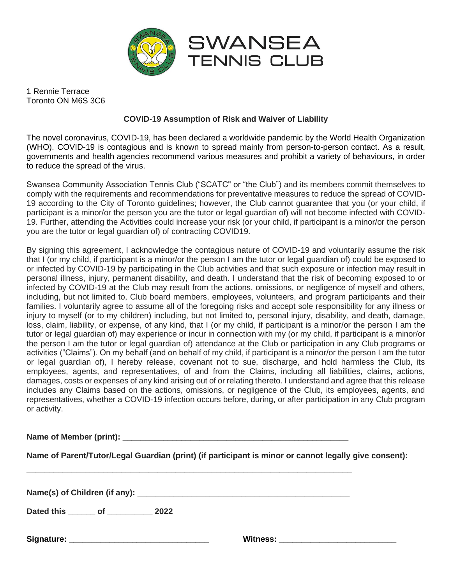

1 Rennie Terrace Toronto ON M6S 3C6

## **COVID-19 Assumption of Risk and Waiver of Liability**

The novel coronavirus, COVID-19, has been declared a worldwide pandemic by the World Health Organization (WHO). COVID-19 is contagious and is known to spread mainly from person-to-person contact. As a result, governments and health agencies recommend various measures and prohibit a variety of behaviours, in order to reduce the spread of the virus.

Swansea Community Association Tennis Club ("SCATC" or "the Club") and its members commit themselves to comply with the requirements and recommendations for preventative measures to reduce the spread of COVID-19 according to the City of Toronto guidelines; however, the Club cannot guarantee that you (or your child, if participant is a minor/or the person you are the tutor or legal guardian of) will not become infected with COVID-19. Further, attending the Activities could increase your risk (or your child, if participant is a minor/or the person you are the tutor or legal guardian of) of contracting COVID19.

By signing this agreement, I acknowledge the contagious nature of COVID-19 and voluntarily assume the risk that I (or my child, if participant is a minor/or the person I am the tutor or legal guardian of) could be exposed to or infected by COVID-19 by participating in the Club activities and that such exposure or infection may result in personal illness, injury, permanent disability, and death. I understand that the risk of becoming exposed to or infected by COVID-19 at the Club may result from the actions, omissions, or negligence of myself and others, including, but not limited to, Club board members, employees, volunteers, and program participants and their families. I voluntarily agree to assume all of the foregoing risks and accept sole responsibility for any illness or injury to myself (or to my children) including, but not limited to, personal injury, disability, and death, damage, loss, claim, liability, or expense, of any kind, that I (or my child, if participant is a minor/or the person I am the tutor or legal guardian of) may experience or incur in connection with my (or my child, if participant is a minor/or the person I am the tutor or legal guardian of) attendance at the Club or participation in any Club programs or activities ("Claims"). On my behalf (and on behalf of my child, if participant is a minor/or the person I am the tutor or legal guardian of), I hereby release, covenant not to sue, discharge, and hold harmless the Club, its employees, agents, and representatives, of and from the Claims, including all liabilities, claims, actions, damages, costs or expenses of any kind arising out of or relating thereto. I understand and agree that this release includes any Claims based on the actions, omissions, or negligence of the Club, its employees, agents, and representatives, whether a COVID-19 infection occurs before, during, or after participation in any Club program or activity.

**Name of Member (print):**  $\blacksquare$ 

**Name of Parent/Tutor/Legal Guardian (print) (if participant is minor or cannot legally give consent):**

**\_\_\_\_\_\_\_\_\_\_\_\_\_\_\_\_\_\_\_\_\_\_\_\_\_\_\_\_\_\_\_\_\_\_\_\_\_\_\_\_\_\_\_\_\_\_\_\_\_\_\_\_\_\_\_\_\_\_\_\_\_\_\_\_\_\_\_\_\_\_\_\_**

Name(s) of Children (if any): **with any** and a set of a set of a set of a set of a set of a set of a set of a set of a set of a set of a set of a set of a set of a set of a set of a set of a set of a set of a set of a set

**Dated this \_\_\_\_\_\_ of \_\_\_\_\_\_\_\_\_\_ 2022**

| Signature: |  |
|------------|--|
|------------|--|

**Signature: \_\_\_\_\_\_\_\_\_\_\_\_\_\_\_\_\_\_\_\_\_\_\_\_\_\_\_\_\_\_\_ Witness: \_\_\_\_\_\_\_\_\_\_\_\_\_\_\_\_\_\_\_\_\_\_\_\_\_\_**